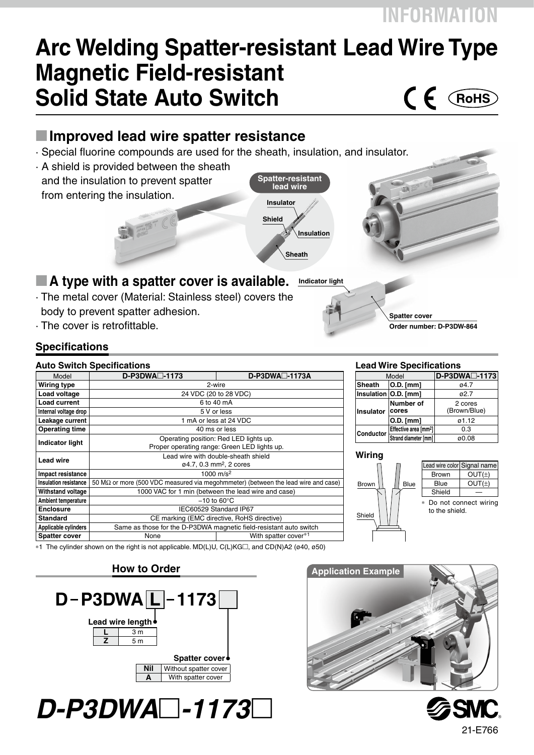## **Arc Welding Spatter-resistant Lead Wire Type Magnetic Field-resistant Solid State Auto Switch**  $\epsilon$ RoHS

## M**Improved lead wire spatter resistance**

- · Special fluorine compounds are used for the sheath, insulation, and insulator.
- **Spatter-resistant**  · A shield is provided between the sheath and the insulation to prevent spatter from entering the insulation.



#### **Indicator light** ■ A type with a spatter cover is available.

- · The metal cover (Material: Stainless steel) covers the body to prevent spatter adhesion.
- · The cover is retrofittable.



#### **Auto Switch Specifications**

| AUIU JWIIUII JUULIILAIIUIIS |                                                                                           |                       |  |
|-----------------------------|-------------------------------------------------------------------------------------------|-----------------------|--|
| Model                       | $D-P3DWA \Box -1173$                                                                      | $D-P3DWA \Box -1173A$ |  |
| Wiring type                 | 2-wire                                                                                    |                       |  |
| Load voltage                | 24 VDC (20 to 28 VDC)                                                                     |                       |  |
| <b>Load current</b>         | 6 to 40 mA                                                                                |                       |  |
| Internal voltage drop       | 5 V or less                                                                               |                       |  |
| Leakage current             | 1 mA or less at 24 VDC                                                                    |                       |  |
| <b>Operating time</b>       | 40 ms or less                                                                             |                       |  |
| <b>Indicator light</b>      | Operating position: Red LED lights up.                                                    |                       |  |
|                             | Proper operating range: Green LED lights up.                                              |                       |  |
| <b>Lead wire</b>            | Lead wire with double-sheath shield                                                       |                       |  |
|                             | ø4.7, 0.3 mm <sup>2</sup> , 2 cores                                                       |                       |  |
| Impact resistance           | 1000 $m/s^2$                                                                              |                       |  |
| Insulation resistance       | 50 M $\Omega$ or more (500 VDC measured via megohmmeter) (between the lead wire and case) |                       |  |
| Withstand voltage           | 1000 VAC for 1 min (between the lead wire and case)                                       |                       |  |
| Ambient temperature         | $-10$ to 60 $\degree$ C                                                                   |                       |  |
| <b>Enclosure</b>            | IEC60529 Standard IP67                                                                    |                       |  |
| Standard                    | CE marking (EMC directive, RoHS directive)                                                |                       |  |
| Applicable cylinders        | Same as those for the D-P3DWA magnetic field-resistant auto switch                        |                       |  |
| <b>Spatter cover</b>        | None                                                                                      | With spatter cover*1  |  |
|                             |                                                                                           |                       |  |

#### **Lead Wire Specifications**

**Spatter cover**

| Model            |                                   | D-P3DWA <sup>-1173</sup> |
|------------------|-----------------------------------|--------------------------|
| <b>Sheath</b>    | O.D. [mm]                         | 04.7                     |
|                  | Insulation   O.D. [mm]            | 02.7                     |
| Insulator        | Number of<br>cores                | 2 cores<br>(Brown/Blue)  |
|                  | O.D. [mm]                         | ø1.12                    |
| <b>Conductor</b> | Effective area [mm <sup>2</sup> ] | 0.3                      |
|                  | Strand diameter [mm]              | ø0.08                    |

**Order number: D-P3DW-864**

#### **Wiring**



Lead wire color Signal name  $Brown \cup OUT(+)$ Blue  $\vert$  OUT( $\pm$ ) Shield Do not connect wiring to the shield.

<sup>∗1</sup> The cylinder shown on the right is not applicable. MD(L)U, C(L)KG□, and CD(N)A2 (ø40, ø50)

**How to Order**